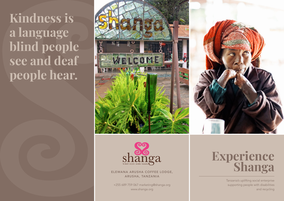**Kindness is a language blind people see and deaf people hear.**





ELEWANA ARUSHA COFFEE LODGE, ARUSHA, TANZANIA

+255 689 759 067 marketing@shanga.org www.shanga.org

## **Experience Shanga**

Tanzania's uplifting social enterprise supporting people with disabilities and recycling